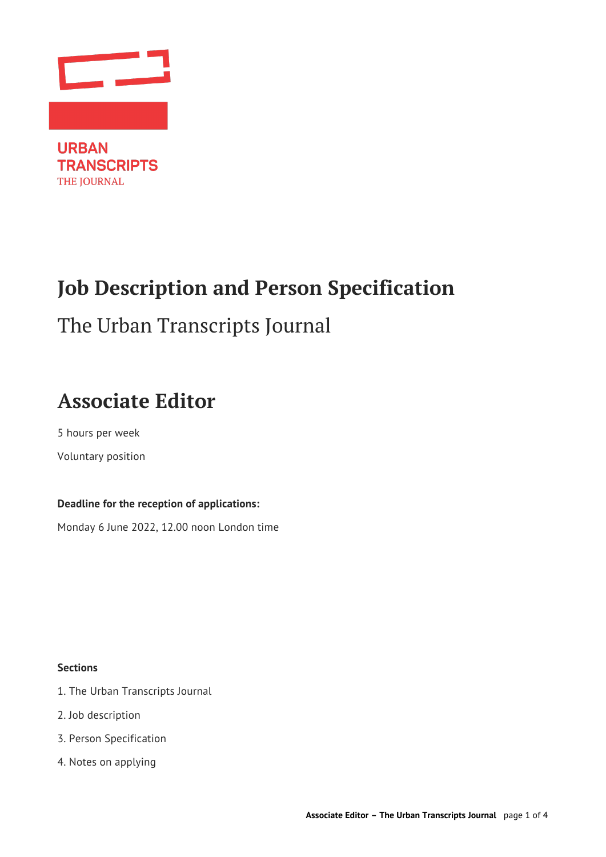

**TRANSCRIPTS** THE JOURNAL

# **Job Description and Person Specification**

## The Urban Transcripts Journal

## **Associate Editor**

5 hours per week Voluntary position

### **Deadline for the reception of applications:**

Monday 6 June 2022, 12.00 noon London time

**Sections**

- 1. The Urban Transcripts Journal
- 2. Job description
- 3. Person Specification
- 4. Notes on applying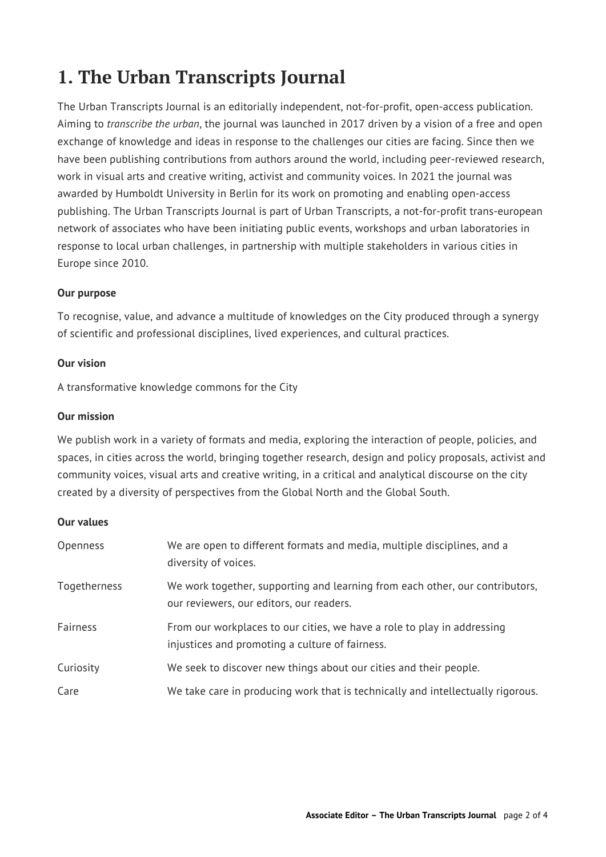### **1. The Urban Transcripts Journal**

The Urban Transcripts Journal is an editorially independent, not-for-profit, open-access publication. Aiming to *transcribe the urban*, the journal was launched in 2017 driven by a vision of a free and open exchange of knowledge and ideas in response to the challenges our cities are facing. Since then we have been publishing contributions from authors around the world, including peer-reviewed research, work in visual arts and creative writing, activist and community voices. In 2021 the journal was awarded by Humboldt University in Berlin for its work on promoting and enabling open-access publishing. The Urban Transcripts Journal is part of Urban Transcripts, a not-for-profit trans-european network of associates who have been initiating public events, workshops and urban laboratories in response to local urban challenges, in partnership with multiple stakeholders in various cities in Europe since 2010.

#### **Our purpose**

To recognise, value, and advance a multitude of knowledges on the City produced through a synergy of scientific and professional disciplines, lived experiences, and cultural practices.

#### **Our vision**

A transformative knowledge commons for the City

#### **Our mission**

We publish work in a variety of formats and media, exploring the interaction of people, policies, and spaces, in cities across the world, bringing together research, design and policy proposals, activist and community voices, visual arts and creative writing, in a critical and analytical discourse on the city created by a diversity of perspectives from the Global North and the Global South.

#### **Our values**

| Openness     | We are open to different formats and media, multiple disciplines, and a<br>diversity of voices.                            |
|--------------|----------------------------------------------------------------------------------------------------------------------------|
| Togetherness | We work together, supporting and learning from each other, our contributors,<br>our reviewers, our editors, our readers.   |
| Fairness     | From our workplaces to our cities, we have a role to play in addressing<br>injustices and promoting a culture of fairness. |
| Curiosity    | We seek to discover new things about our cities and their people.                                                          |
| Care         | We take care in producing work that is technically and intellectually rigorous.                                            |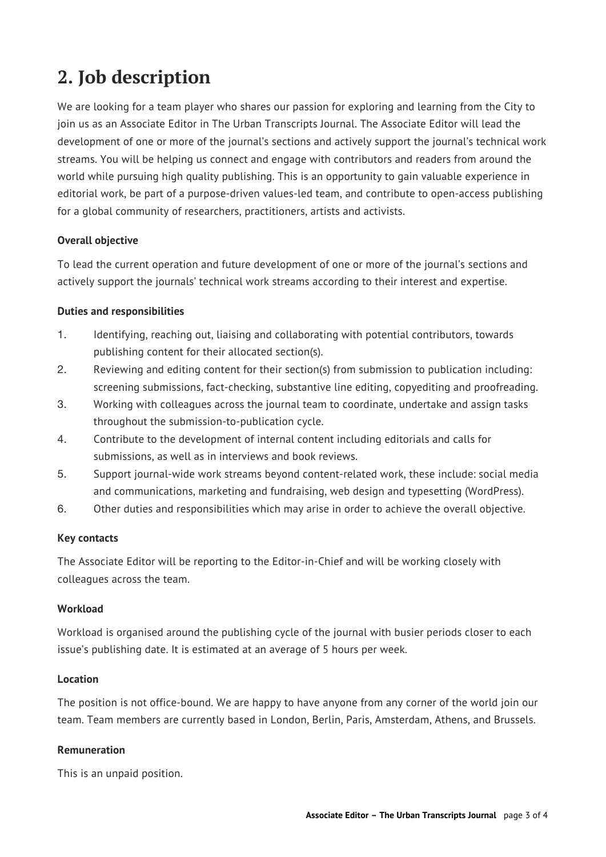## **2. Job description**

We are looking for a team player who shares our passion for exploring and learning from the City to join us as an Associate Editor in The Urban Transcripts Journal. The Associate Editor will lead the development of one or more of the journal's sections and actively support the journal's technical work streams. You will be helping us connect and engage with contributors and readers from around the world while pursuing high quality publishing. This is an opportunity to gain valuable experience in editorial work, be part of a purpose-driven values-led team, and contribute to open-access publishing for a global community of researchers, practitioners, artists and activists.

#### **Overall objective**

To lead the current operation and future development of one or more of the journal's sections and actively support the journals' technical work streams according to their interest and expertise.

#### **Duties and responsibilities**

- 1. Identifying, reaching out, liaising and collaborating with potential contributors, towards publishing content for their allocated section(s).
- 2. Reviewing and editing content for their section(s) from submission to publication including: screening submissions, fact-checking, substantive line editing, copyediting and proofreading.
- 3. Working with colleagues across the journal team to coordinate, undertake and assign tasks throughout the submission-to-publication cycle.
- 4. Contribute to the development of internal content including editorials and calls for submissions, as well as in interviews and book reviews.
- 5. Support journal-wide work streams beyond content-related work, these include: social media and communications, marketing and fundraising, web design and typesetting (WordPress).
- 6. Other duties and responsibilities which may arise in order to achieve the overall objective.

#### **Key contacts**

The Associate Editor will be reporting to the Editor-in-Chief and will be working closely with colleagues across the team.

#### **Workload**

Workload is organised around the publishing cycle of the journal with busier periods closer to each issue's publishing date. It is estimated at an average of 5 hours per week.

#### **Location**

The position is not office-bound. We are happy to have anyone from any corner of the world join our team. Team members are currently based in London, Berlin, Paris, Amsterdam, Athens, and Brussels.

#### **Remuneration**

This is an unpaid position.